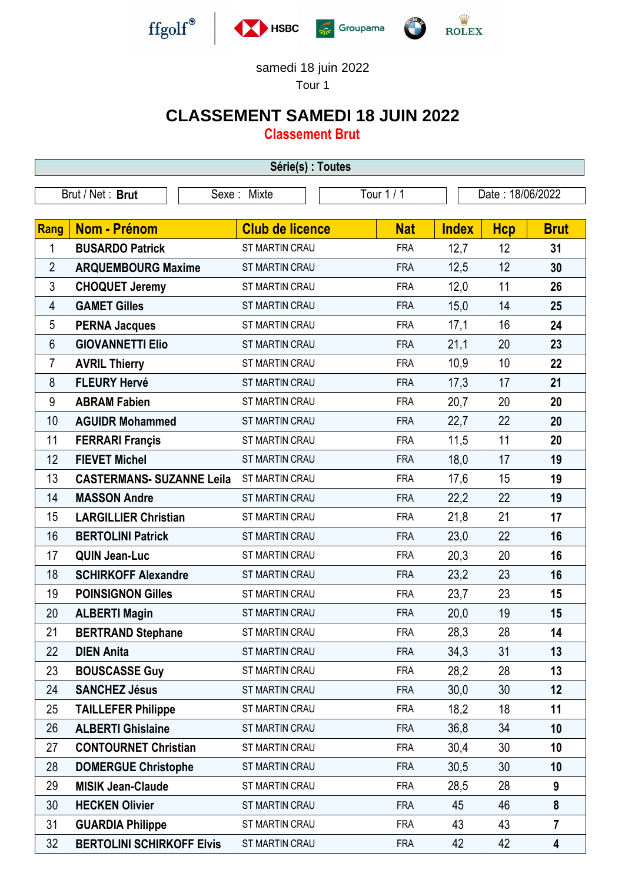

## samedi 18 juin 2022

Tour 1

## **CLASSEMENT SAMEDI 18 JUIN 2022**

**Classement Brut**

| Série(s) : Toutes |                                  |                        |  |            |              |                  |                         |  |  |  |
|-------------------|----------------------------------|------------------------|--|------------|--------------|------------------|-------------------------|--|--|--|
| Brut / Net: Brut  |                                  | Sexe: Mixte            |  | Tour 1 / 1 |              | Date: 18/06/2022 |                         |  |  |  |
|                   |                                  |                        |  |            |              |                  |                         |  |  |  |
| <b>Rang</b>       | <b>Nom - Prénom</b>              | <b>Club de licence</b> |  | <b>Nat</b> | <b>Index</b> | <b>Hcp</b>       | <b>Brut</b>             |  |  |  |
| 1                 | <b>BUSARDO Patrick</b>           | <b>ST MARTIN CRAU</b>  |  | <b>FRA</b> | 12,7         | 12               | 31                      |  |  |  |
| $\overline{2}$    | <b>ARQUEMBOURG Maxime</b>        | ST MARTIN CRAU         |  | <b>FRA</b> | 12,5         | 12               | 30                      |  |  |  |
| 3                 | <b>CHOQUET Jeremy</b>            | <b>ST MARTIN CRAU</b>  |  | <b>FRA</b> | 12,0         | 11               | 26                      |  |  |  |
| 4                 | <b>GAMET Gilles</b>              | ST MARTIN CRAU         |  | <b>FRA</b> | 15,0         | 14               | 25                      |  |  |  |
| 5                 | <b>PERNA Jacques</b>             | ST MARTIN CRAU         |  | <b>FRA</b> | 17,1         | 16               | 24                      |  |  |  |
| 6                 | <b>GIOVANNETTI Elio</b>          | ST MARTIN CRAU         |  | <b>FRA</b> | 21,1         | 20               | 23                      |  |  |  |
| 7                 | <b>AVRIL Thierry</b>             | ST MARTIN CRAU         |  | <b>FRA</b> | 10,9         | 10               | 22                      |  |  |  |
| 8                 | <b>FLEURY Hervé</b>              | ST MARTIN CRAU         |  | <b>FRA</b> | 17,3         | 17               | 21                      |  |  |  |
| 9                 | <b>ABRAM Fabien</b>              | ST MARTIN CRAU         |  | <b>FRA</b> | 20,7         | 20               | 20                      |  |  |  |
| 10                | <b>AGUIDR Mohammed</b>           | ST MARTIN CRAU         |  | <b>FRA</b> | 22,7         | 22               | 20                      |  |  |  |
| 11                | <b>FERRARI Françis</b>           | <b>ST MARTIN CRAU</b>  |  | <b>FRA</b> | 11,5         | 11               | 20                      |  |  |  |
| 12                | <b>FIEVET Michel</b>             | <b>ST MARTIN CRAU</b>  |  | <b>FRA</b> | 18,0         | 17               | 19                      |  |  |  |
| 13                | <b>CASTERMANS- SUZANNE Leila</b> | ST MARTIN CRAU         |  | <b>FRA</b> | 17,6         | 15               | 19                      |  |  |  |
| 14                | <b>MASSON Andre</b>              | <b>ST MARTIN CRAU</b>  |  | <b>FRA</b> | 22,2         | 22               | 19                      |  |  |  |
| 15                | <b>LARGILLIER Christian</b>      | ST MARTIN CRAU         |  | <b>FRA</b> | 21,8         | 21               | 17                      |  |  |  |
| 16                | <b>BERTOLINI Patrick</b>         | <b>ST MARTIN CRAU</b>  |  | <b>FRA</b> | 23,0         | 22               | 16                      |  |  |  |
| 17                | <b>QUIN Jean-Luc</b>             | ST MARTIN CRAU         |  | <b>FRA</b> | 20,3         | 20               | 16                      |  |  |  |
| 18                | <b>SCHIRKOFF Alexandre</b>       | <b>ST MARTIN CRAU</b>  |  | <b>FRA</b> | 23,2         | 23               | 16                      |  |  |  |
| 19                | <b>POINSIGNON Gilles</b>         | ST MARTIN CRAU         |  | <b>FRA</b> | 23,7         | 23               | 15                      |  |  |  |
| 20                | <b>ALBERTI Magin</b>             | ST MARTIN CRAU         |  | <b>FRA</b> | 20,0         | 19               | 15                      |  |  |  |
| 21                | <b>BERTRAND Stephane</b>         | <b>ST MARTIN CRAU</b>  |  | <b>FRA</b> | 28,3         | 28               | 14                      |  |  |  |
| 22                | <b>DIEN Anita</b>                | ST MARTIN CRAU         |  | <b>FRA</b> | 34,3         | 31               | 13                      |  |  |  |
| 23                | <b>BOUSCASSE Guy</b>             | ST MARTIN CRAU         |  | <b>FRA</b> | 28,2         | 28               | 13                      |  |  |  |
| 24                | <b>SANCHEZ Jésus</b>             | ST MARTIN CRAU         |  | <b>FRA</b> | 30,0         | 30               | 12                      |  |  |  |
| 25                | <b>TAILLEFER Philippe</b>        | ST MARTIN CRAU         |  | <b>FRA</b> | 18,2         | 18               | 11                      |  |  |  |
| 26                | <b>ALBERTI Ghislaine</b>         | ST MARTIN CRAU         |  | <b>FRA</b> | 36,8         | 34               | 10                      |  |  |  |
| 27                | <b>CONTOURNET Christian</b>      | ST MARTIN CRAU         |  | <b>FRA</b> | 30,4         | 30               | 10                      |  |  |  |
| 28                | <b>DOMERGUE Christophe</b>       | ST MARTIN CRAU         |  | <b>FRA</b> | 30,5         | 30               | 10                      |  |  |  |
| 29                | <b>MISIK Jean-Claude</b>         | ST MARTIN CRAU         |  | <b>FRA</b> | 28,5         | 28               | 9                       |  |  |  |
| 30                | <b>HECKEN Olivier</b>            | ST MARTIN CRAU         |  | <b>FRA</b> | 45           | 46               | 8                       |  |  |  |
| 31                | <b>GUARDIA Philippe</b>          | ST MARTIN CRAU         |  | <b>FRA</b> | 43           | 43               | $\overline{7}$          |  |  |  |
| 32                | <b>BERTOLINI SCHIRKOFF Elvis</b> | ST MARTIN CRAU         |  | <b>FRA</b> | 42           | 42               | $\overline{\mathbf{4}}$ |  |  |  |